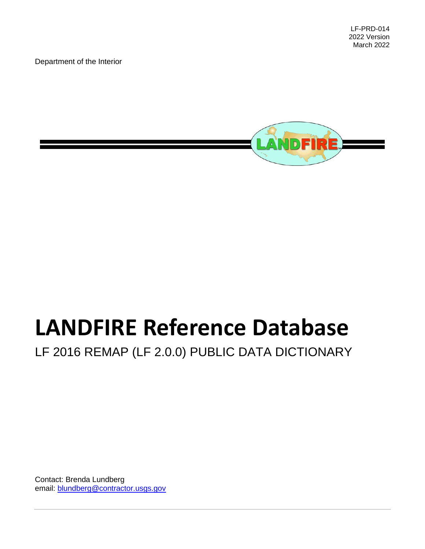LF-PRD-014 2022 Version March 2022

Department of the Interior



# **LANDFIRE Reference Database**

LF 2016 REMAP (LF 2.0.0) PUBLIC DATA DICTIONARY

Contact: Brenda Lundberg email: [blundberg@](mailto:brenda.lundberg.ctr@usgs.gov)[contractor.usgs.gov](mailto:username@contractor.usgs.gov)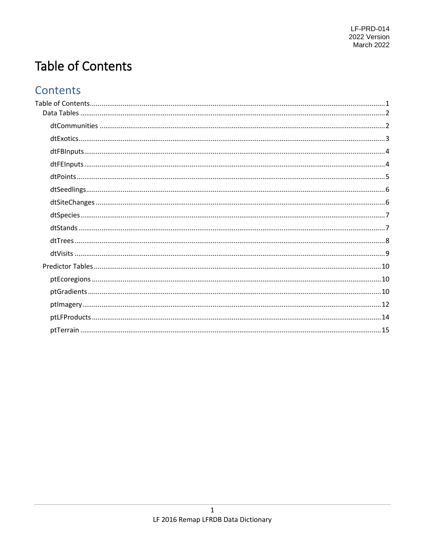# <span id="page-1-0"></span>**Table of Contents**

# Contents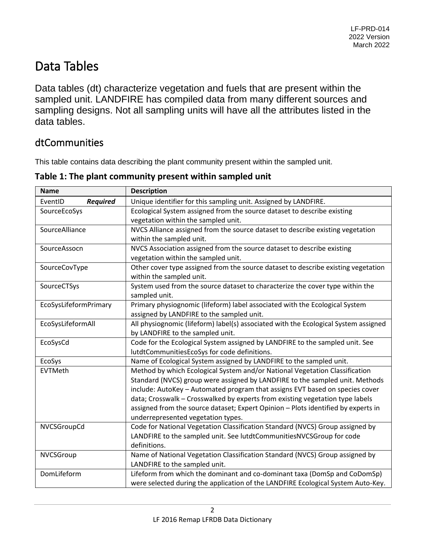# <span id="page-2-0"></span>Data Tables

Data tables (dt) characterize vegetation and fuels that are present within the sampled unit. LANDFIRE has compiled data from many different sources and sampling designs. Not all sampling units will have all the attributes listed in the data tables.

#### <span id="page-2-1"></span>dtCommunities

This table contains data describing the plant community present within the sampled unit.

| <b>Name</b>                | <b>Description</b>                                                                  |
|----------------------------|-------------------------------------------------------------------------------------|
| <b>Required</b><br>EventID | Unique identifier for this sampling unit. Assigned by LANDFIRE.                     |
| SourceEcoSys               | Ecological System assigned from the source dataset to describe existing             |
|                            | vegetation within the sampled unit.                                                 |
| SourceAlliance             | NVCS Alliance assigned from the source dataset to describe existing vegetation      |
|                            | within the sampled unit.                                                            |
| SourceAssocn               | NVCS Association assigned from the source dataset to describe existing              |
|                            | vegetation within the sampled unit.                                                 |
| SourceCovType              | Other cover type assigned from the source dataset to describe existing vegetation   |
|                            | within the sampled unit.                                                            |
| SourceCTSys                | System used from the source dataset to characterize the cover type within the       |
|                            | sampled unit.                                                                       |
| EcoSysLifeformPrimary      | Primary physiognomic (lifeform) label associated with the Ecological System         |
|                            | assigned by LANDFIRE to the sampled unit.                                           |
| EcoSysLifeformAll          | All physiognomic (lifeform) label(s) associated with the Ecological System assigned |
|                            | by LANDFIRE to the sampled unit.                                                    |
| EcoSysCd                   | Code for the Ecological System assigned by LANDFIRE to the sampled unit. See        |
|                            | lutdtCommunitiesEcoSys for code definitions.                                        |
| EcoSys                     | Name of Ecological System assigned by LANDFIRE to the sampled unit.                 |
| EVTMeth                    | Method by which Ecological System and/or National Vegetation Classification         |
|                            | Standard (NVCS) group were assigned by LANDFIRE to the sampled unit. Methods        |
|                            | include: AutoKey - Automated program that assigns EVT based on species cover        |
|                            | data; Crosswalk - Crosswalked by experts from existing vegetation type labels       |
|                            | assigned from the source dataset; Expert Opinion - Plots identified by experts in   |
|                            | underrepresented vegetation types.                                                  |
| NVCSGroupCd                | Code for National Vegetation Classification Standard (NVCS) Group assigned by       |
|                            | LANDFIRE to the sampled unit. See lutdtCommunitiesNVCSGroup for code                |
|                            | definitions.                                                                        |
| NVCSGroup                  | Name of National Vegetation Classification Standard (NVCS) Group assigned by        |
|                            | LANDFIRE to the sampled unit.                                                       |
| DomLifeform                | Lifeform from which the dominant and co-dominant taxa (DomSp and CoDomSp)           |
|                            | were selected during the application of the LANDFIRE Ecological System Auto-Key.    |

**Table 1: The plant community present within sampled unit**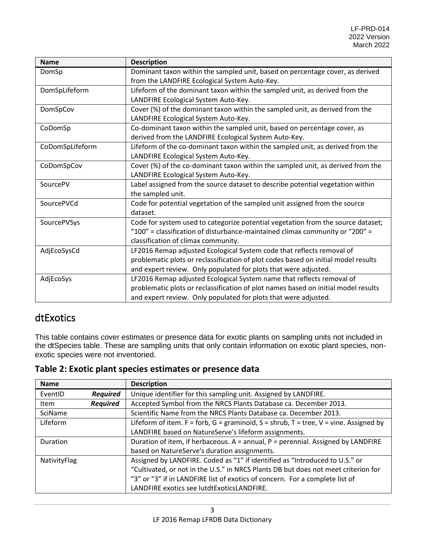| <b>Name</b>     | <b>Description</b>                                                                 |
|-----------------|------------------------------------------------------------------------------------|
| DomSp           | Dominant taxon within the sampled unit, based on percentage cover, as derived      |
|                 | from the LANDFIRE Ecological System Auto-Key.                                      |
| DomSpLifeform   | Lifeform of the dominant taxon within the sampled unit, as derived from the        |
|                 | LANDFIRE Ecological System Auto-Key.                                               |
| DomSpCov        | Cover (%) of the dominant taxon within the sampled unit, as derived from the       |
|                 | LANDFIRE Ecological System Auto-Key.                                               |
| CoDomSp         | Co-dominant taxon within the sampled unit, based on percentage cover, as           |
|                 | derived from the LANDFIRE Ecological System Auto-Key.                              |
| CoDomSpLifeform | Lifeform of the co-dominant taxon within the sampled unit, as derived from the     |
|                 | LANDFIRE Ecological System Auto-Key.                                               |
| CoDomSpCov      | Cover (%) of the co-dominant taxon within the sampled unit, as derived from the    |
|                 | LANDFIRE Ecological System Auto-Key.                                               |
| SourcePV        | Label assigned from the source dataset to describe potential vegetation within     |
|                 | the sampled unit.                                                                  |
| SourcePVCd      | Code for potential vegetation of the sampled unit assigned from the source         |
|                 | dataset.                                                                           |
| SourcePVSys     | Code for system used to categorize potential vegetation from the source dataset;   |
|                 | "100" = classification of disturbance-maintained climax community or "200" =       |
|                 | classification of climax community.                                                |
| AdjEcoSysCd     | LF2016 Remap adjusted Ecological System code that reflects removal of              |
|                 | problematic plots or reclassification of plot codes based on initial model results |
|                 | and expert review. Only populated for plots that were adjusted.                    |
| AdjEcoSys       | LF2016 Remap adjusted Ecological System name that reflects removal of              |
|                 | problematic plots or reclassification of plot names based on initial model results |
|                 | and expert review. Only populated for plots that were adjusted.                    |

#### <span id="page-3-0"></span>dtExotics

This table contains cover estimates or presence data for exotic plants on sampling units not included in the dtSpecies table. These are sampling units that only contain information on exotic plant species, nonexotic species were not inventoried.

**Table 2: Exotic plant species estimates or presence data**

| <b>Name</b>  |                 | <b>Description</b>                                                                    |
|--------------|-----------------|---------------------------------------------------------------------------------------|
| EventID      | <b>Required</b> | Unique identifier for this sampling unit. Assigned by LANDFIRE.                       |
| Item         | <b>Required</b> | Accepted Symbol from the NRCS Plants Database ca. December 2013.                      |
| SciName      |                 | Scientific Name from the NRCS Plants Database ca. December 2013.                      |
| Lifeform     |                 | Lifeform of item. F = forb, G = graminoid, S = shrub, T = tree, V = vine. Assigned by |
|              |                 | LANDFIRE based on NatureServe's lifeform assignments.                                 |
| Duration     |                 | Duration of item, if herbaceous. A = annual, P = perennial. Assigned by LANDFIRE      |
|              |                 | based on NatureServe's duration assignments.                                          |
| NativityFlag |                 | Assigned by LANDFIRE. Coded as "1" if identified as "Introduced to U.S." or           |
|              |                 | "Cultivated, or not in the U.S." in NRCS Plants DB but does not meet criterion for    |
|              |                 | "3" or "3" if in LANDFIRE list of exotics of concern. For a complete list of          |
|              |                 | LANDFIRE exotics see lutdtExoticsLANDFIRE.                                            |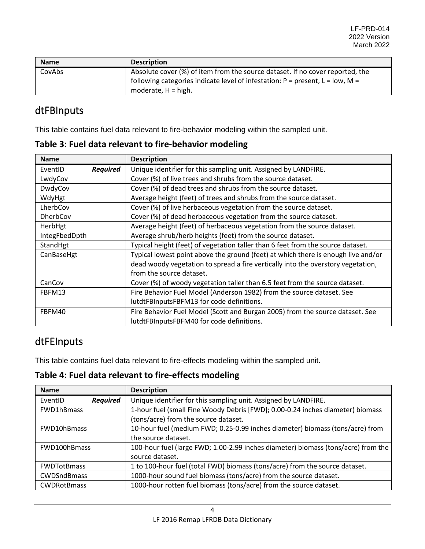| <b>Name</b> | <b>Description</b>                                                                |
|-------------|-----------------------------------------------------------------------------------|
| CovAbs      | Absolute cover (%) of item from the source dataset. If no cover reported, the     |
|             | following categories indicate level of infestation: $P =$ present, $L =$ low, M = |
|             | moderate, H = high.                                                               |

### <span id="page-4-0"></span>dtFBInputs

This table contains fuel data relevant to fire-behavior modeling within the sampled unit.

|  |  | Table 3: Fuel data relevant to fire-behavior modeling |
|--|--|-------------------------------------------------------|
|--|--|-------------------------------------------------------|

| <b>Name</b>                | <b>Description</b>                                                                |
|----------------------------|-----------------------------------------------------------------------------------|
| <b>Required</b><br>EventID | Unique identifier for this sampling unit. Assigned by LANDFIRE.                   |
| LwdyCov                    | Cover (%) of live trees and shrubs from the source dataset.                       |
| DwdyCov                    | Cover (%) of dead trees and shrubs from the source dataset.                       |
| WdyHgt                     | Average height (feet) of trees and shrubs from the source dataset.                |
| LherbCov                   | Cover (%) of live herbaceous vegetation from the source dataset.                  |
| DherbCov                   | Cover (%) of dead herbaceous vegetation from the source dataset.                  |
| HerbHgt                    | Average height (feet) of herbaceous vegetation from the source dataset.           |
| IntegFbedDpth              | Average shrub/herb heights (feet) from the source dataset.                        |
| StandHgt                   | Typical height (feet) of vegetation taller than 6 feet from the source dataset.   |
| CanBaseHgt                 | Typical lowest point above the ground (feet) at which there is enough live and/or |
|                            | dead woody vegetation to spread a fire vertically into the overstory vegetation,  |
|                            | from the source dataset.                                                          |
| CanCov                     | Cover (%) of woody vegetation taller than 6.5 feet from the source dataset.       |
| FBFM13                     | Fire Behavior Fuel Model (Anderson 1982) from the source dataset. See             |
|                            | lutdtFBInputsFBFM13 for code definitions.                                         |
| FBFM40                     | Fire Behavior Fuel Model (Scott and Burgan 2005) from the source dataset. See     |
|                            | lutdtFBInputsFBFM40 for code definitions.                                         |

# <span id="page-4-1"></span>dtFEInputs

This table contains fuel data relevant to fire-effects modeling within the sampled unit.

**Table 4: Fuel data relevant to fire-effects modeling**

| <b>Name</b>                | <b>Description</b>                                                                |
|----------------------------|-----------------------------------------------------------------------------------|
| <b>Required</b><br>EventID | Unique identifier for this sampling unit. Assigned by LANDFIRE.                   |
| FWD1hBmass                 | 1-hour fuel (small Fine Woody Debris [FWD]; 0.00-0.24 inches diameter) biomass    |
|                            | (tons/acre) from the source dataset.                                              |
| FWD10hBmass                | 10-hour fuel (medium FWD; 0.25-0.99 inches diameter) biomass (tons/acre) from     |
|                            | the source dataset.                                                               |
| FWD100hBmass               | 100-hour fuel (large FWD; 1.00-2.99 inches diameter) biomass (tons/acre) from the |
|                            | source dataset.                                                                   |
| <b>FWDTotBmass</b>         | 1 to 100-hour fuel (total FWD) biomass (tons/acre) from the source dataset.       |
| <b>CWDSndBmass</b>         | 1000-hour sound fuel biomass (tons/acre) from the source dataset.                 |
| <b>CWDRotBmass</b>         | 1000-hour rotten fuel biomass (tons/acre) from the source dataset.                |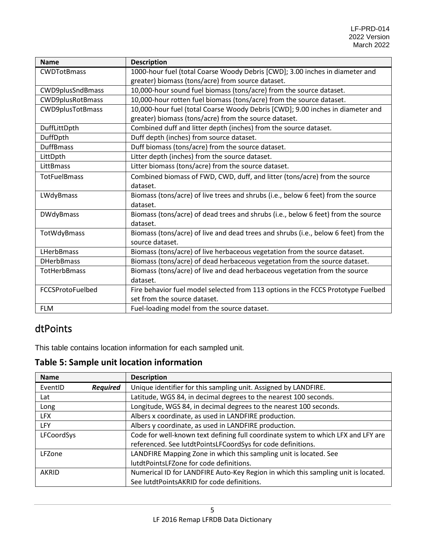| <b>Name</b>             | <b>Description</b>                                                                  |
|-------------------------|-------------------------------------------------------------------------------------|
| <b>CWDTotBmass</b>      | 1000-hour fuel (total Coarse Woody Debris [CWD]; 3.00 inches in diameter and        |
|                         | greater) biomass (tons/acre) from source dataset.                                   |
| CWD9plusSndBmass        | 10,000-hour sound fuel biomass (tons/acre) from the source dataset.                 |
| <b>CWD9plusRotBmass</b> | 10,000-hour rotten fuel biomass (tons/acre) from the source dataset.                |
| <b>CWD9plusTotBmass</b> | 10,000-hour fuel (total Coarse Woody Debris [CWD]; 9.00 inches in diameter and      |
|                         | greater) biomass (tons/acre) from the source dataset.                               |
| DuffLittDpth            | Combined duff and litter depth (inches) from the source dataset.                    |
| DuffDpth                | Duff depth (inches) from source dataset.                                            |
| <b>DuffBmass</b>        | Duff biomass (tons/acre) from the source dataset.                                   |
| LittDpth                | Litter depth (inches) from the source dataset.                                      |
| LittBmass               | Litter biomass (tons/acre) from the source dataset.                                 |
| <b>TotFuelBmass</b>     | Combined biomass of FWD, CWD, duff, and litter (tons/acre) from the source          |
|                         | dataset.                                                                            |
| LWdyBmass               | Biomass (tons/acre) of live trees and shrubs (i.e., below 6 feet) from the source   |
|                         | dataset.                                                                            |
| DWdyBmass               | Biomass (tons/acre) of dead trees and shrubs (i.e., below 6 feet) from the source   |
|                         | dataset.                                                                            |
| TotWdyBmass             | Biomass (tons/acre) of live and dead trees and shrubs (i.e., below 6 feet) from the |
|                         | source dataset.                                                                     |
| <b>LHerbBmass</b>       | Biomass (tons/acre) of live herbaceous vegetation from the source dataset.          |
| <b>DHerbBmass</b>       | Biomass (tons/acre) of dead herbaceous vegetation from the source dataset.          |
| <b>TotHerbBmass</b>     | Biomass (tons/acre) of live and dead herbaceous vegetation from the source          |
|                         | dataset.                                                                            |
| FCCSProtoFuelbed        | Fire behavior fuel model selected from 113 options in the FCCS Prototype Fuelbed    |
|                         | set from the source dataset.                                                        |
| <b>FLM</b>              | Fuel-loading model from the source dataset.                                         |

### <span id="page-5-0"></span>dtPoints

This table contains location information for each sampled unit.

#### **Table 5: Sample unit location information**

| <b>Name</b>                | <b>Description</b>                                                                |
|----------------------------|-----------------------------------------------------------------------------------|
| EventID<br><b>Required</b> | Unique identifier for this sampling unit. Assigned by LANDFIRE.                   |
| Lat                        | Latitude, WGS 84, in decimal degrees to the nearest 100 seconds.                  |
| Long                       | Longitude, WGS 84, in decimal degrees to the nearest 100 seconds.                 |
| <b>LFX</b>                 | Albers x coordinate, as used in LANDFIRE production.                              |
| <b>LFY</b>                 | Albers y coordinate, as used in LANDFIRE production.                              |
| LFCoordSys                 | Code for well-known text defining full coordinate system to which LFX and LFY are |
|                            | referenced. See lutdtPointsLFCoordSys for code definitions.                       |
| LFZone                     | LANDFIRE Mapping Zone in which this sampling unit is located. See                 |
|                            | lutdtPointsLFZone for code definitions.                                           |
| AKRID                      | Numerical ID for LANDFIRE Auto-Key Region in which this sampling unit is located. |
|                            | See lutdtPointsAKRID for code definitions.                                        |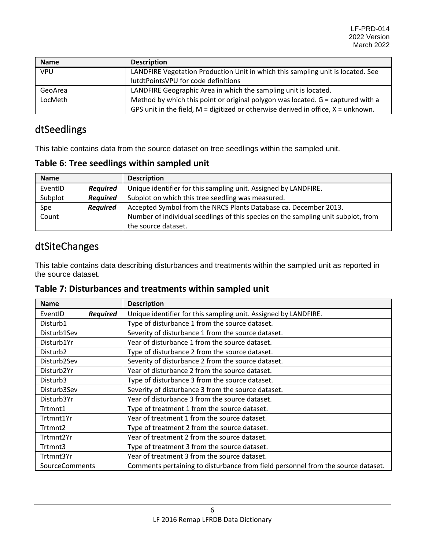| <b>Name</b> | <b>Description</b>                                                                    |
|-------------|---------------------------------------------------------------------------------------|
| VPU         | LANDFIRE Vegetation Production Unit in which this sampling unit is located. See       |
|             | lutdtPointsVPU for code definitions                                                   |
| GeoArea     | LANDFIRE Geographic Area in which the sampling unit is located.                       |
| LocMeth     | Method by which this point or original polygon was located. G = captured with a       |
|             | GPS unit in the field, $M =$ digitized or otherwise derived in office, $X =$ unknown. |

# <span id="page-6-0"></span>dtSeedlings

This table contains data from the source dataset on tree seedlings within the sampled unit.

**Table 6: Tree seedlings within sampled unit**

| <b>Name</b> |                 | <b>Description</b>                                                                |
|-------------|-----------------|-----------------------------------------------------------------------------------|
| EventID     | <b>Required</b> | Unique identifier for this sampling unit. Assigned by LANDFIRE.                   |
| Subplot     | <b>Required</b> | Subplot on which this tree seedling was measured.                                 |
| Spe         | <b>Required</b> | Accepted Symbol from the NRCS Plants Database ca. December 2013.                  |
| Count       |                 | Number of individual seedlings of this species on the sampling unit subplot, from |
|             |                 | the source dataset.                                                               |

# <span id="page-6-1"></span>dtSiteChanges

This table contains data describing disturbances and treatments within the sampled unit as reported in the source dataset.

|  |  |  | Table 7: Disturbances and treatments within sampled unit |  |  |
|--|--|--|----------------------------------------------------------|--|--|
|--|--|--|----------------------------------------------------------|--|--|

| <b>Name</b>          |                 | <b>Description</b>                                                               |
|----------------------|-----------------|----------------------------------------------------------------------------------|
| EventID              | <b>Required</b> | Unique identifier for this sampling unit. Assigned by LANDFIRE.                  |
| Disturb1             |                 | Type of disturbance 1 from the source dataset.                                   |
| Disturb1Sev          |                 | Severity of disturbance 1 from the source dataset.                               |
| Disturb1Yr           |                 | Year of disturbance 1 from the source dataset.                                   |
| Disturb <sub>2</sub> |                 | Type of disturbance 2 from the source dataset.                                   |
| Disturb2Sev          |                 | Severity of disturbance 2 from the source dataset.                               |
| Disturb2Yr           |                 | Year of disturbance 2 from the source dataset.                                   |
| Disturb3             |                 | Type of disturbance 3 from the source dataset.                                   |
| Disturb3Sev          |                 | Severity of disturbance 3 from the source dataset.                               |
| Disturb3Yr           |                 | Year of disturbance 3 from the source dataset.                                   |
| Trtmnt1              |                 | Type of treatment 1 from the source dataset.                                     |
| Trtmnt1Yr            |                 | Year of treatment 1 from the source dataset.                                     |
| Trtmnt2              |                 | Type of treatment 2 from the source dataset.                                     |
| Trtmnt2Yr            |                 | Year of treatment 2 from the source dataset.                                     |
| Trtmnt3              |                 | Type of treatment 3 from the source dataset.                                     |
| Trtmnt3Yr            |                 | Year of treatment 3 from the source dataset.                                     |
| SourceComments       |                 | Comments pertaining to disturbance from field personnel from the source dataset. |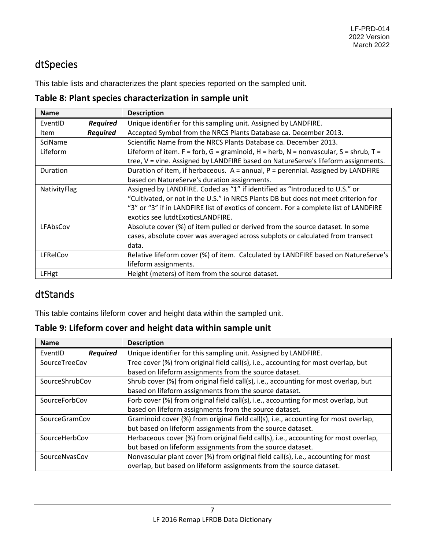## <span id="page-7-0"></span>dtSpecies

This table lists and characterizes the plant species reported on the sampled unit.

**Table 8: Plant species characterization in sample unit**

| <b>Name</b>  |                 | <b>Description</b>                                                                    |
|--------------|-----------------|---------------------------------------------------------------------------------------|
| EventID      | <b>Required</b> | Unique identifier for this sampling unit. Assigned by LANDFIRE.                       |
| Item         | <b>Required</b> | Accepted Symbol from the NRCS Plants Database ca. December 2013.                      |
| SciName      |                 | Scientific Name from the NRCS Plants Database ca. December 2013.                      |
| Lifeform     |                 | Lifeform of item. F = forb, G = graminoid, H = herb, N = nonvascular, S = shrub, T =  |
|              |                 | tree, V = vine. Assigned by LANDFIRE based on NatureServe's lifeform assignments.     |
| Duration     |                 | Duration of item, if herbaceous. A = annual, P = perennial. Assigned by LANDFIRE      |
|              |                 | based on NatureServe's duration assignments.                                          |
| NativityFlag |                 | Assigned by LANDFIRE. Coded as "1" if identified as "Introduced to U.S." or           |
|              |                 | "Cultivated, or not in the U.S." in NRCS Plants DB but does not meet criterion for    |
|              |                 | "3" or "3" if in LANDFIRE list of exotics of concern. For a complete list of LANDFIRE |
|              |                 | exotics see lutdtExoticsLANDFIRE.                                                     |
| LFAbsCov     |                 | Absolute cover (%) of item pulled or derived from the source dataset. In some         |
|              |                 | cases, absolute cover was averaged across subplots or calculated from transect        |
|              |                 | data.                                                                                 |
| LFRelCov     |                 | Relative lifeform cover (%) of item. Calculated by LANDFIRE based on NatureServe's    |
|              |                 | lifeform assignments.                                                                 |
| LFHgt        |                 | Height (meters) of item from the source dataset.                                      |

#### <span id="page-7-1"></span>dtStands

This table contains lifeform cover and height data within the sampled unit.

**Table 9: Lifeform cover and height data within sample unit**

| <b>Name</b>                | <b>Description</b>                                                                   |
|----------------------------|--------------------------------------------------------------------------------------|
| <b>Required</b><br>EventID | Unique identifier for this sampling unit. Assigned by LANDFIRE.                      |
| SourceTreeCov              | Tree cover (%) from original field call(s), i.e., accounting for most overlap, but   |
|                            | based on lifeform assignments from the source dataset.                               |
| SourceShrubCov             | Shrub cover (%) from original field call(s), i.e., accounting for most overlap, but  |
|                            | based on lifeform assignments from the source dataset.                               |
| SourceForbCov              | Forb cover (%) from original field call(s), i.e., accounting for most overlap, but   |
|                            | based on lifeform assignments from the source dataset.                               |
| <b>SourceGramCov</b>       | Graminoid cover (%) from original field call(s), i.e., accounting for most overlap,  |
|                            | but based on lifeform assignments from the source dataset.                           |
| SourceHerbCov              | Herbaceous cover (%) from original field call(s), i.e., accounting for most overlap, |
|                            | but based on lifeform assignments from the source dataset.                           |
| SourceNvasCov              | Nonvascular plant cover (%) from original field call(s), i.e., accounting for most   |
|                            | overlap, but based on lifeform assignments from the source dataset.                  |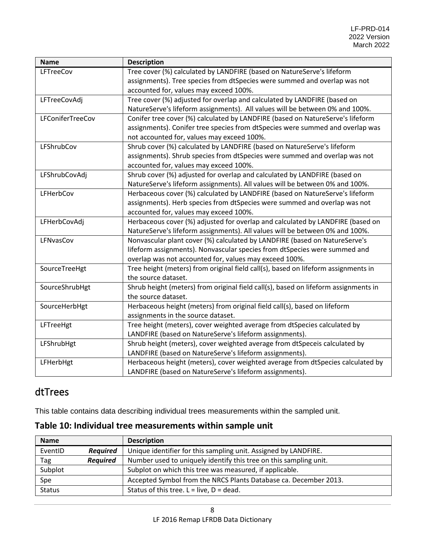| <b>Name</b>      | <b>Description</b>                                                                  |
|------------------|-------------------------------------------------------------------------------------|
| LFTreeCov        | Tree cover (%) calculated by LANDFIRE (based on NatureServe's lifeform              |
|                  | assignments). Tree species from dtSpecies were summed and overlap was not           |
|                  | accounted for, values may exceed 100%.                                              |
| LFTreeCovAdj     | Tree cover (%) adjusted for overlap and calculated by LANDFIRE (based on            |
|                  | NatureServe's lifeform assignments). All values will be between 0% and 100%.        |
| LFConiferTreeCov | Conifer tree cover (%) calculated by LANDFIRE (based on NatureServe's lifeform      |
|                  | assignments). Conifer tree species from dtSpecies were summed and overlap was       |
|                  | not accounted for, values may exceed 100%.                                          |
| LFShrubCov       | Shrub cover (%) calculated by LANDFIRE (based on NatureServe's lifeform             |
|                  | assignments). Shrub species from dtSpecies were summed and overlap was not          |
|                  | accounted for, values may exceed 100%.                                              |
| LFShrubCovAdj    | Shrub cover (%) adjusted for overlap and calculated by LANDFIRE (based on           |
|                  | NatureServe's lifeform assignments). All values will be between 0% and 100%.        |
| LFHerbCov        | Herbaceous cover (%) calculated by LANDFIRE (based on NatureServe's lifeform        |
|                  | assignments). Herb species from dtSpecies were summed and overlap was not           |
|                  | accounted for, values may exceed 100%.                                              |
| LFHerbCovAdj     | Herbaceous cover (%) adjusted for overlap and calculated by LANDFIRE (based on      |
|                  | NatureServe's lifeform assignments). All values will be between 0% and 100%.        |
| LFNvasCov        | Nonvascular plant cover (%) calculated by LANDFIRE (based on NatureServe's          |
|                  | lifeform assignments). Nonvascular species from dtSpecies were summed and           |
|                  | overlap was not accounted for, values may exceed 100%.                              |
| SourceTreeHgt    | Tree height (meters) from original field call(s), based on lifeform assignments in  |
|                  | the source dataset.                                                                 |
| SourceShrubHgt   | Shrub height (meters) from original field call(s), based on lifeform assignments in |
|                  | the source dataset.                                                                 |
| SourceHerbHgt    | Herbaceous height (meters) from original field call(s), based on lifeform           |
|                  | assignments in the source dataset.                                                  |
| LFTreeHgt        | Tree height (meters), cover weighted average from dtSpecies calculated by           |
|                  | LANDFIRE (based on NatureServe's lifeform assignments).                             |
| LFShrubHgt       | Shrub height (meters), cover weighted average from dtSpeceis calculated by          |
|                  | LANDFIRE (based on NatureServe's lifeform assignments).                             |
| LFHerbHgt        | Herbaceous height (meters), cover weighted average from dtSpecies calculated by     |
|                  | LANDFIRE (based on NatureServe's lifeform assignments).                             |

### <span id="page-8-0"></span>dtTrees

This table contains data describing individual trees measurements within the sampled unit.

#### **Table 10: Individual tree measurements within sample unit**

| <b>Name</b>   |                 | <b>Description</b>                                                |
|---------------|-----------------|-------------------------------------------------------------------|
| EventID       | <b>Required</b> | Unique identifier for this sampling unit. Assigned by LANDFIRE.   |
| Tag           | <b>Required</b> | Number used to uniquely identify this tree on this sampling unit. |
| Subplot       |                 | Subplot on which this tree was measured, if applicable.           |
| Spe           |                 | Accepted Symbol from the NRCS Plants Database ca. December 2013.  |
| <b>Status</b> |                 | Status of this tree. $L = live$ , $D = dead$ .                    |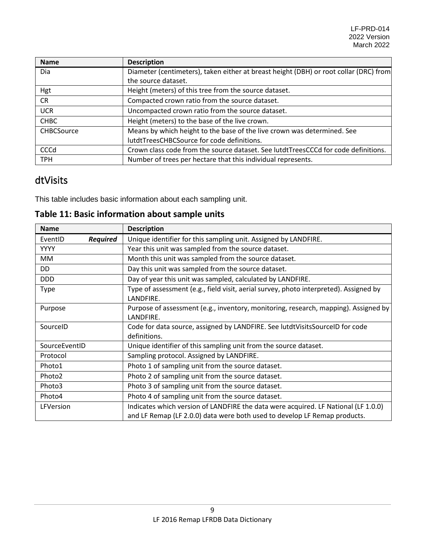| <b>Name</b>       | <b>Description</b>                                                                    |
|-------------------|---------------------------------------------------------------------------------------|
| Dia               | Diameter (centimeters), taken either at breast height (DBH) or root collar (DRC) from |
|                   | the source dataset.                                                                   |
| Hgt               | Height (meters) of this tree from the source dataset.                                 |
| <b>CR</b>         | Compacted crown ratio from the source dataset.                                        |
| <b>UCR</b>        | Uncompacted crown ratio from the source dataset.                                      |
| <b>CHBC</b>       | Height (meters) to the base of the live crown.                                        |
| <b>CHBCSource</b> | Means by which height to the base of the live crown was determined. See               |
|                   | lutdtTreesCHBCSource for code definitions.                                            |
| <b>CCCd</b>       | Crown class code from the source dataset. See lutdtTreesCCCd for code definitions.    |
| <b>TPH</b>        | Number of trees per hectare that this individual represents.                          |

#### <span id="page-9-0"></span>dtVisits

This table includes basic information about each sampling unit.

| Table 11: Basic information about sample units |  |
|------------------------------------------------|--|
|------------------------------------------------|--|

| <b>Name</b>                | <b>Description</b>                                                                                 |
|----------------------------|----------------------------------------------------------------------------------------------------|
| <b>Required</b><br>EventID | Unique identifier for this sampling unit. Assigned by LANDFIRE.                                    |
| <b>YYYY</b>                | Year this unit was sampled from the source dataset.                                                |
| MM.                        | Month this unit was sampled from the source dataset.                                               |
| DD                         | Day this unit was sampled from the source dataset.                                                 |
| <b>DDD</b>                 | Day of year this unit was sampled, calculated by LANDFIRE.                                         |
| Type                       | Type of assessment (e.g., field visit, aerial survey, photo interpreted). Assigned by<br>LANDFIRE. |
| Purpose                    | Purpose of assessment (e.g., inventory, monitoring, research, mapping). Assigned by<br>LANDFIRE.   |
| SourceID                   | Code for data source, assigned by LANDFIRE. See lutdtVisitsSourceID for code                       |
|                            | definitions.                                                                                       |
| SourceEventID              | Unique identifier of this sampling unit from the source dataset.                                   |
| Protocol                   | Sampling protocol. Assigned by LANDFIRE.                                                           |
| Photo1                     | Photo 1 of sampling unit from the source dataset.                                                  |
| Photo2                     | Photo 2 of sampling unit from the source dataset.                                                  |
| Photo3                     | Photo 3 of sampling unit from the source dataset.                                                  |
| Photo4                     | Photo 4 of sampling unit from the source dataset.                                                  |
| LFVersion                  | Indicates which version of LANDFIRE the data were acquired. LF National (LF 1.0.0)                 |
|                            | and LF Remap (LF 2.0.0) data were both used to develop LF Remap products.                          |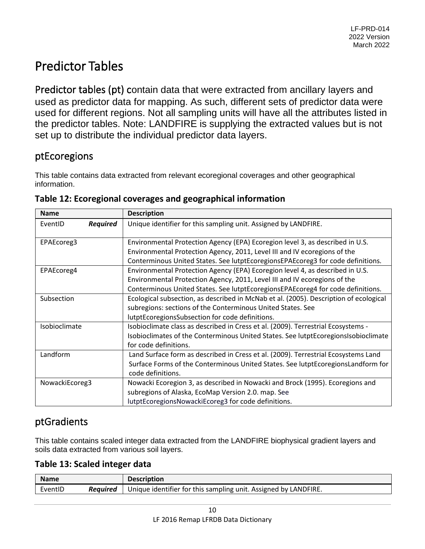# <span id="page-10-0"></span>Predictor Tables

Predictor tables (pt) contain data that were extracted from ancillary layers and used as predictor data for mapping. As such, different sets of predictor data were used for different regions. Not all sampling units will have all the attributes listed in the predictor tables. Note: LANDFIRE is supplying the extracted values but is not set up to distribute the individual predictor data layers.

#### <span id="page-10-1"></span>ptEcoregions

This table contains data extracted from relevant ecoregional coverages and other geographical information.

| <b>Name</b>    |                 | <b>Description</b>                                                                    |
|----------------|-----------------|---------------------------------------------------------------------------------------|
| EventID        | <b>Required</b> | Unique identifier for this sampling unit. Assigned by LANDFIRE.                       |
| EPAEcoreg3     |                 | Environmental Protection Agency (EPA) Ecoregion level 3, as described in U.S.         |
|                |                 | Environmental Protection Agency, 2011, Level III and IV ecoregions of the             |
|                |                 | Conterminous United States. See lutptEcoregionsEPAEcoreg3 for code definitions.       |
| EPAEcoreg4     |                 | Environmental Protection Agency (EPA) Ecoregion level 4, as described in U.S.         |
|                |                 | Environmental Protection Agency, 2011, Level III and IV ecoregions of the             |
|                |                 | Conterminous United States. See lutptEcoregionsEPAEcoreg4 for code definitions.       |
| Subsection     |                 | Ecological subsection, as described in McNab et al. (2005). Description of ecological |
|                |                 | subregions: sections of the Conterminous United States. See                           |
|                |                 | lutptEcoregionsSubsection for code definitions.                                       |
| Isobioclimate  |                 | Isobioclimate class as described in Cress et al. (2009). Terrestrial Ecosystems -     |
|                |                 | Isobioclimates of the Conterminous United States. See lutptEcoregionsIsobioclimate    |
|                |                 | for code definitions.                                                                 |
| Landform       |                 | Land Surface form as described in Cress et al. (2009). Terrestrial Ecosystems Land    |
|                |                 | Surface Forms of the Conterminous United States. See lutptEcoregionsLandform for      |
|                |                 | code definitions.                                                                     |
| NowackiEcoreg3 |                 | Nowacki Ecoregion 3, as described in Nowacki and Brock (1995). Ecoregions and         |
|                |                 | subregions of Alaska, EcoMap Version 2.0. map. See                                    |
|                |                 | lutptEcoregionsNowackiEcoreg3 for code definitions.                                   |

# <span id="page-10-2"></span>ptGradients

This table contains scaled integer data extracted from the LANDFIRE biophysical gradient layers and soils data extracted from various soil layers.

#### **Table 13: Scaled integer data**

| <b>Name</b> |                 | <b>Description</b>                                              |
|-------------|-----------------|-----------------------------------------------------------------|
| EventID     | <b>Reauired</b> | Unique identifier for this sampling unit. Assigned by LANDFIRE. |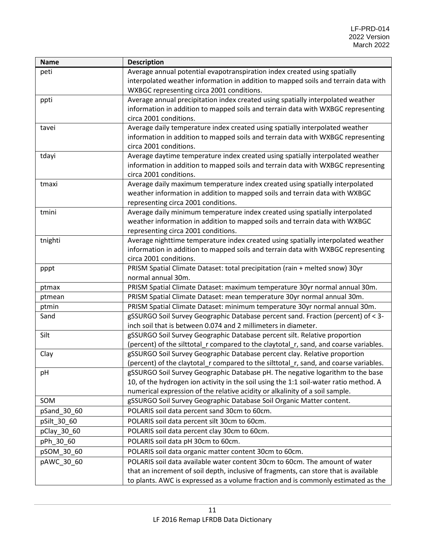| <b>Name</b> | <b>Description</b>                                                                                                                                                    |
|-------------|-----------------------------------------------------------------------------------------------------------------------------------------------------------------------|
| peti        | Average annual potential evapotranspiration index created using spatially                                                                                             |
|             | interpolated weather information in addition to mapped soils and terrain data with                                                                                    |
|             | WXBGC representing circa 2001 conditions.                                                                                                                             |
| ppti        | Average annual precipitation index created using spatially interpolated weather                                                                                       |
|             | information in addition to mapped soils and terrain data with WXBGC representing                                                                                      |
|             | circa 2001 conditions.                                                                                                                                                |
| tavei       | Average daily temperature index created using spatially interpolated weather                                                                                          |
|             | information in addition to mapped soils and terrain data with WXBGC representing                                                                                      |
|             | circa 2001 conditions.                                                                                                                                                |
| tdayi       | Average daytime temperature index created using spatially interpolated weather                                                                                        |
|             | information in addition to mapped soils and terrain data with WXBGC representing                                                                                      |
|             | circa 2001 conditions.                                                                                                                                                |
| tmaxi       | Average daily maximum temperature index created using spatially interpolated                                                                                          |
|             | weather information in addition to mapped soils and terrain data with WXBGC                                                                                           |
|             | representing circa 2001 conditions.                                                                                                                                   |
| tmini       | Average daily minimum temperature index created using spatially interpolated                                                                                          |
|             | weather information in addition to mapped soils and terrain data with WXBGC                                                                                           |
|             | representing circa 2001 conditions.                                                                                                                                   |
| tnighti     | Average nighttime temperature index created using spatially interpolated weather                                                                                      |
|             | information in addition to mapped soils and terrain data with WXBGC representing                                                                                      |
|             | circa 2001 conditions.                                                                                                                                                |
| pppt        | PRISM Spatial Climate Dataset: total precipitation (rain + melted snow) 30yr                                                                                          |
|             | normal annual 30m.                                                                                                                                                    |
| ptmax       | PRISM Spatial Climate Dataset: maximum temperature 30yr normal annual 30m.                                                                                            |
| ptmean      | PRISM Spatial Climate Dataset: mean temperature 30yr normal annual 30m.                                                                                               |
| ptmin       | PRISM Spatial Climate Dataset: minimum temperature 30yr normal annual 30m.                                                                                            |
| Sand        | gSSURGO Soil Survey Geographic Database percent sand. Fraction (percent) of < 3-                                                                                      |
|             | inch soil that is between 0.074 and 2 millimeters in diameter.                                                                                                        |
| Silt        | gSSURGO Soil Survey Geographic Database percent silt. Relative proportion                                                                                             |
|             | (percent) of the silttotal_r compared to the claytotal_r, sand, and coarse variables.                                                                                 |
| Clay        | gSSURGO Soil Survey Geographic Database percent clay. Relative proportion<br>(percent) of the claytotal r compared to the silttotal r, sand, and coarse variables.    |
|             |                                                                                                                                                                       |
| pH          | gSSURGO Soil Survey Geographic Database pH. The negative logarithm to the base                                                                                        |
|             | 10, of the hydrogen ion activity in the soil using the 1:1 soil-water ratio method. A<br>numerical expression of the relative acidity or alkalinity of a soil sample. |
| SOM         | gSSURGO Soil Survey Geographic Database Soil Organic Matter content.                                                                                                  |
|             |                                                                                                                                                                       |
| pSand_30_60 | POLARIS soil data percent sand 30cm to 60cm.                                                                                                                          |
| pSilt_30_60 | POLARIS soil data percent silt 30cm to 60cm.                                                                                                                          |
| pClay_30_60 | POLARIS soil data percent clay 30cm to 60cm.                                                                                                                          |
| pPh_30_60   | POLARIS soil data pH 30cm to 60cm.                                                                                                                                    |
| pSOM 30 60  | POLARIS soil data organic matter content 30cm to 60cm.                                                                                                                |
| pAWC_30_60  | POLARIS soil data available water content 30cm to 60cm. The amount of water                                                                                           |
|             | that an increment of soil depth, inclusive of fragments, can store that is available                                                                                  |
|             | to plants. AWC is expressed as a volume fraction and is commonly estimated as the                                                                                     |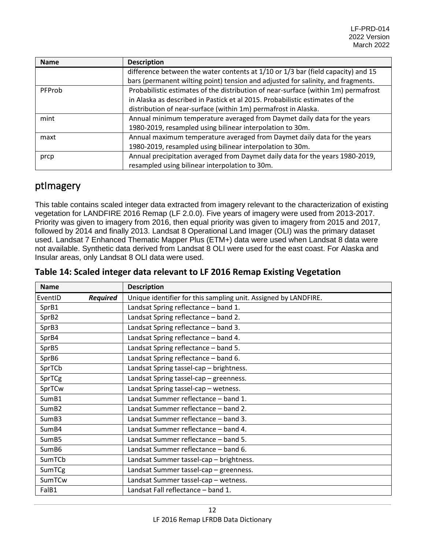| <b>Name</b> | <b>Description</b>                                                                 |
|-------------|------------------------------------------------------------------------------------|
|             | difference between the water contents at 1/10 or 1/3 bar (field capacity) and 15   |
|             | bars (permanent wilting point) tension and adjusted for salinity, and fragments.   |
| PFProb      | Probabilistic estimates of the distribution of near-surface (within 1m) permafrost |
|             | in Alaska as described in Pastick et al 2015. Probabilistic estimates of the       |
|             | distribution of near-surface (within 1m) permafrost in Alaska.                     |
| mint        | Annual minimum temperature averaged from Daymet daily data for the years           |
|             | 1980-2019, resampled using bilinear interpolation to 30m.                          |
| maxt        | Annual maximum temperature averaged from Daymet daily data for the years           |
|             | 1980-2019, resampled using bilinear interpolation to 30m.                          |
| prcp        | Annual precipitation averaged from Daymet daily data for the years 1980-2019,      |
|             | resampled using bilinear interpolation to 30m.                                     |

#### <span id="page-12-0"></span>ptImagery

This table contains scaled integer data extracted from imagery relevant to the characterization of existing vegetation for LANDFIRE 2016 Remap (LF 2.0.0). Five years of imagery were used from 2013-2017. Priority was given to imagery from 2016, then equal priority was given to imagery from 2015 and 2017, followed by 2014 and finally 2013. Landsat 8 Operational Land Imager (OLI) was the primary dataset used. Landsat 7 Enhanced Thematic Mapper Plus (ETM+) data were used when Landsat 8 data were not available. Synthetic data derived from Landsat 8 OLI were used for the east coast. For Alaska and Insular areas, only Landsat 8 OLI data were used.

| <b>Name</b>                | <b>Description</b>                                              |
|----------------------------|-----------------------------------------------------------------|
| EventID<br><b>Required</b> | Unique identifier for this sampling unit. Assigned by LANDFIRE. |
| SprB1                      | Landsat Spring reflectance - band 1.                            |
| SprB2                      | Landsat Spring reflectance - band 2.                            |
| SprB3                      | Landsat Spring reflectance - band 3.                            |
| SprB4                      | Landsat Spring reflectance - band 4.                            |
| SprB5                      | Landsat Spring reflectance - band 5.                            |
| SprB6                      | Landsat Spring reflectance - band 6.                            |
| SprTCb                     | Landsat Spring tassel-cap - brightness.                         |
| SprTCg                     | Landsat Spring tassel-cap - greenness.                          |
| SprTCw                     | Landsat Spring tassel-cap - wetness.                            |
| SumB1                      | Landsat Summer reflectance - band 1.                            |
| SumB <sub>2</sub>          | Landsat Summer reflectance - band 2.                            |
| SumB3                      | Landsat Summer reflectance - band 3.                            |
| SumB4                      | Landsat Summer reflectance - band 4.                            |
| SumB <sub>5</sub>          | Landsat Summer reflectance - band 5.                            |
| SumB6                      | Landsat Summer reflectance - band 6.                            |
| SumTCb                     | Landsat Summer tassel-cap - brightness.                         |
| SumTCg                     | Landsat Summer tassel-cap - greenness.                          |
| SumTCw                     | Landsat Summer tassel-cap - wetness.                            |
| FalB1                      | Landsat Fall reflectance - band 1.                              |

| Table 14: Scaled integer data relevant to LF 2016 Remap Existing Vegetation |  |
|-----------------------------------------------------------------------------|--|
|-----------------------------------------------------------------------------|--|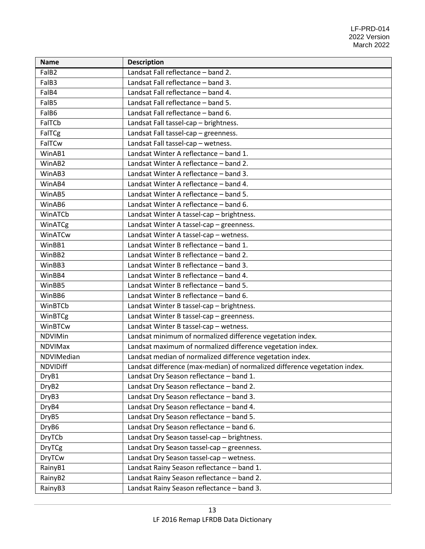| <b>Name</b>       | <b>Description</b>                                                         |
|-------------------|----------------------------------------------------------------------------|
| FalB <sub>2</sub> | Landsat Fall reflectance - band 2.                                         |
| FalB3             | Landsat Fall reflectance - band 3.                                         |
| FalB4             | Landsat Fall reflectance - band 4.                                         |
| FalB5             | Landsat Fall reflectance - band 5.                                         |
| FalB6             | Landsat Fall reflectance - band 6.                                         |
| FalTCb            | Landsat Fall tassel-cap - brightness.                                      |
| FalTCg            | Landsat Fall tassel-cap - greenness.                                       |
| FalTCw            | Landsat Fall tassel-cap - wetness.                                         |
| WinAB1            | Landsat Winter A reflectance - band 1.                                     |
| WinAB2            | Landsat Winter A reflectance - band 2.                                     |
| WinAB3            | Landsat Winter A reflectance - band 3.                                     |
| WinAB4            | Landsat Winter A reflectance - band 4.                                     |
| WinAB5            | Landsat Winter A reflectance - band 5.                                     |
| WinAB6            | Landsat Winter A reflectance - band 6.                                     |
| WinATCb           | Landsat Winter A tassel-cap - brightness.                                  |
| WinATCg           | Landsat Winter A tassel-cap - greenness.                                   |
| WinATCw           | Landsat Winter A tassel-cap - wetness.                                     |
| WinBB1            | Landsat Winter B reflectance - band 1.                                     |
| WinBB2            | Landsat Winter B reflectance - band 2.                                     |
| WinBB3            | Landsat Winter B reflectance - band 3.                                     |
| WinBB4            | Landsat Winter B reflectance - band 4.                                     |
| WinBB5            | Landsat Winter B reflectance - band 5.                                     |
| WinBB6            | Landsat Winter B reflectance - band 6.                                     |
| WinBTCb           | Landsat Winter B tassel-cap - brightness.                                  |
| WinBTCg           | Landsat Winter B tassel-cap - greenness.                                   |
| WinBTCw           | Landsat Winter B tassel-cap - wetness.                                     |
| <b>NDVIMin</b>    | Landsat minimum of normalized difference vegetation index.                 |
| <b>NDVIMax</b>    | Landsat maximum of normalized difference vegetation index.                 |
| NDVIMedian        | Landsat median of normalized difference vegetation index.                  |
| <b>NDVIDiff</b>   | Landsat difference (max-median) of normalized difference vegetation index. |
| DryB1             | Landsat Dry Season reflectance - band 1.                                   |
| DryB <sub>2</sub> | Landsat Dry Season reflectance - band 2.                                   |
| DryB <sub>3</sub> | Landsat Dry Season reflectance - band 3.                                   |
| DryB4             | Landsat Dry Season reflectance - band 4.                                   |
| DryB5             | Landsat Dry Season reflectance - band 5.                                   |
| DryB <sub>6</sub> | Landsat Dry Season reflectance - band 6.                                   |
| <b>DryTCb</b>     | Landsat Dry Season tassel-cap - brightness.                                |
| <b>DryTCg</b>     | Landsat Dry Season tassel-cap - greenness.                                 |
| <b>DryTCw</b>     | Landsat Dry Season tassel-cap - wetness.                                   |
| RainyB1           | Landsat Rainy Season reflectance - band 1.                                 |
| RainyB2           | Landsat Rainy Season reflectance - band 2.                                 |
| RainyB3           | Landsat Rainy Season reflectance - band 3.                                 |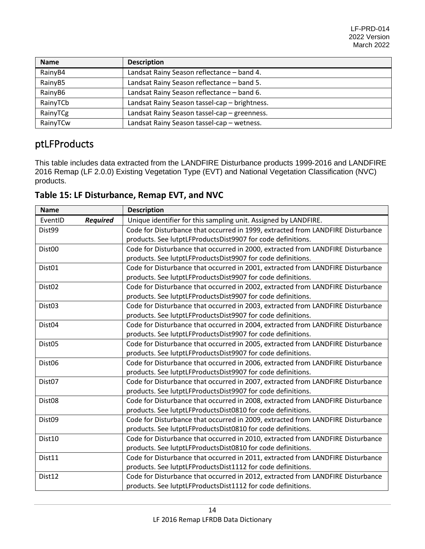| <b>Name</b> | <b>Description</b>                            |
|-------------|-----------------------------------------------|
| RainyB4     | Landsat Rainy Season reflectance - band 4.    |
| RainyB5     | Landsat Rainy Season reflectance - band 5.    |
| RainyB6     | Landsat Rainy Season reflectance - band 6.    |
| RainyTCb    | Landsat Rainy Season tassel-cap - brightness. |
| RainyTCg    | Landsat Rainy Season tassel-cap - greenness.  |
| RainyTCw    | Landsat Rainy Season tassel-cap - wetness.    |

# <span id="page-14-0"></span>ptLFProducts

 $\overline{1}$ 

This table includes data extracted from the LANDFIRE Disturbance products 1999-2016 and LANDFIRE 2016 Remap (LF 2.0.0) Existing Vegetation Type (EVT) and National Vegetation Classification (NVC) products.

| <b>Name</b>        |                 | <b>Description</b>                                                              |
|--------------------|-----------------|---------------------------------------------------------------------------------|
| EventID            | <b>Required</b> | Unique identifier for this sampling unit. Assigned by LANDFIRE.                 |
| Dist <sub>99</sub> |                 | Code for Disturbance that occurred in 1999, extracted from LANDFIRE Disturbance |
|                    |                 | products. See lutptLFProductsDist9907 for code definitions.                     |
| Dist <sub>00</sub> |                 | Code for Disturbance that occurred in 2000, extracted from LANDFIRE Disturbance |
|                    |                 | products. See lutptLFProductsDist9907 for code definitions.                     |
| Dist <sub>01</sub> |                 | Code for Disturbance that occurred in 2001, extracted from LANDFIRE Disturbance |
|                    |                 | products. See lutptLFProductsDist9907 for code definitions.                     |
| Dist <sub>02</sub> |                 | Code for Disturbance that occurred in 2002, extracted from LANDFIRE Disturbance |
|                    |                 | products. See lutptLFProductsDist9907 for code definitions.                     |
| Dist <sub>03</sub> |                 | Code for Disturbance that occurred in 2003, extracted from LANDFIRE Disturbance |
|                    |                 | products. See lutptLFProductsDist9907 for code definitions.                     |
| Dist <sub>04</sub> |                 | Code for Disturbance that occurred in 2004, extracted from LANDFIRE Disturbance |
|                    |                 | products. See lutptLFProductsDist9907 for code definitions.                     |
| Dist <sub>05</sub> |                 | Code for Disturbance that occurred in 2005, extracted from LANDFIRE Disturbance |
|                    |                 | products. See lutptLFProductsDist9907 for code definitions.                     |
| Dist <sub>06</sub> |                 | Code for Disturbance that occurred in 2006, extracted from LANDFIRE Disturbance |
|                    |                 | products. See lutptLFProductsDist9907 for code definitions.                     |
| Dist <sub>07</sub> |                 | Code for Disturbance that occurred in 2007, extracted from LANDFIRE Disturbance |
|                    |                 | products. See lutptLFProductsDist9907 for code definitions.                     |
| Dist <sub>08</sub> |                 | Code for Disturbance that occurred in 2008, extracted from LANDFIRE Disturbance |
|                    |                 | products. See lutptLFProductsDist0810 for code definitions.                     |
| Dist <sub>09</sub> |                 | Code for Disturbance that occurred in 2009, extracted from LANDFIRE Disturbance |
|                    |                 | products. See lutptLFProductsDist0810 for code definitions.                     |
| Dist10             |                 | Code for Disturbance that occurred in 2010, extracted from LANDFIRE Disturbance |
|                    |                 | products. See lutptLFProductsDist0810 for code definitions.                     |
| Dist11             |                 | Code for Disturbance that occurred in 2011, extracted from LANDFIRE Disturbance |
|                    |                 | products. See lutptLFProductsDist1112 for code definitions.                     |
| Dist12             |                 | Code for Disturbance that occurred in 2012, extracted from LANDFIRE Disturbance |
|                    |                 | products. See lutptLFProductsDist1112 for code definitions.                     |

**Table 15: LF Disturbance, Remap EVT, and NVC**